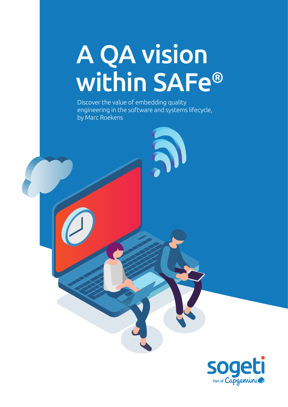# A QA vision within SAFe®

Discover the value of embedding quality engineering in the software and systems lifecycle, by Marc Roekens

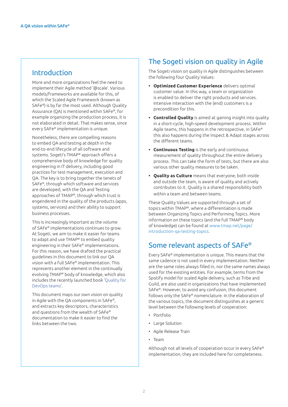## Introduction

More and more organizations feel the need to implement their Agile method '@scale'. Various models/frameworks are available for this, of which the Scaled Agile Framework (known as SAFe®) is by far the most used. Although Quality Assurance (QA) is mentioned within SAFe®, for example organizing the production process, it is not elaborated in detail. That makes sense, since every SAFe® implementation is unique.

Nonetheless, there are compelling reasons to embed QA and testing at depth in the end-to-end lifecycle of all software and systems. Sogeti's TMAP® approach offers a comprehensive body of knowledge for quality engineering in IT delivery, including good practices for test management, execution and QA. The key is to bring together the tenets of SAFe®, through which software and services are developed, with the QA and Testing approaches of TMAP®, through which trust is engendered in the quality of the products (apps, systems, services) and their ability to support business processes.

This is increasingly important as the volume of SAFe® implementations continues to grow. At Sogeti, we aim to make it easier for teams to adapt and use TMAP® to embed quality engineering in their SAFe® implementations. For this reason, we have drafted the practical guidelines in this document to link our QA vision with a full SAFe® implementation. This represents another element in the continually evolving TMAP® body of knowledge, which also includes the recently launched book '[Quality for](https://www.sogeti.com/explore/books/tmap-quality-for-devops-teams/)  [DevOps teams'](https://www.sogeti.com/explore/books/tmap-quality-for-devops-teams/).

This document maps our own vision on quality in Agile with the QA components in SAFe®, and extracts key descriptors, characteristics and questions from the wealth of SAFe® documentation to make it easier to find the links between the two.

## The Sogeti vision on quality in Agile

The Sogeti vision on quality in Agile distinguishes between the following four Quality Values:

- **• Optimized Customer Experience** delivers optimal customer value. In this way, a team or organization is enabled to deliver the right products and services. Intensive interaction with the (end) customers is a precondition for this.
- **• Controlled Quality** is aimed at gaining insight into quality in a short-cycle, high-speed development process. Within Agile teams, this happens in the retrospective, in SAFe® this also happens during the Inspect & Adapt stages across the different teams.
- **• Continuous Testing** is the early and continuous measurement of quality throughout the entire delivery process. This can take the form of tests, but there are also various other quality measures to be taken.
- **• Quality as Culture** means that everyone, both inside and outside the team, is aware of quality and actively contributes to it. Quality is a shared responsibility both within a team and between teams.

These Quality Values are supported through a set of topics within TMAP®, where a differentiation is made between Organizing Topics and Performing Topics. More information on these topics (and the full TMAP® body of knowledge) can be found at [www.tmap.net/page/](https://www.TMAP.net/page/introduction-qa-testing-topics) [introduction-qa-testing-topics.](https://www.TMAP.net/page/introduction-qa-testing-topics)

## Some relevant aspects of SAFe®

Every SAFe® implementation is unique. This means that the same cadence is not used in every implementation. Neither are the same roles always filled in, nor the same names always used for the existing entities. For example, terms from the Spotify model for scaled Agile delivery, such as Tribe and Guild, are also used in organizations that have implemented SAFe®. However, to avoid any confusion, this document follows only the SAFe® nomenclature. In the elaboration of the various topics, the document distinguishes at a generic level between the following levels of cooperation:

- Portfolio
- Large Solution
- Agile Release Train
- Team

Although not all levels of cooperation occur in every SAFe® implementation, they are included here for completeness.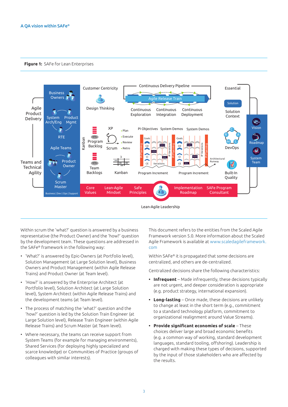#### **Figure 1:** SAFe for Lean Enterprises



Lean-Agile Leadership

Within scrum the 'what?' question is answered by a business representative (the Product Owner) and the 'how?' question by the development team. These questions are addressed in the SAFe® framework in the following way:

- 'What?' is answered by Epic-Owners (at Portfolio level), Solution Management (at Large Solution level), Business Owners and Product Management (within Agile Release Trains) and Product Owner (at Team level).
- 'How?' is answered by the Enterprise Architect (at Portfolio level), Solution Architect (at Large Solution level), System Architect (within Agile Release Trains) and the development teams (at Team level).
- The process of matching the 'what?' question and the 'how?' question is led by the Solution Train Engineer (at Large Solution level), Release Train Engineer (within Agile Release Trains) and Scrum Master (at Team level).
- Where necessary, the teams can receive support from System Teams (for example for managing environments), Shared Services (for deploying highly specialized and scarce knowledge) or Communities of Practice (groups of colleagues with similar interests).

This document refers to the entities from the Scaled Agile Framework version 5.0. More information about the Scaled Agile Framework is available at [www.scaledagileframework.](https://www.scaledagileframework.com/) [com](https://www.scaledagileframework.com/)

Within SAFe® it is propagated that some decisions are centralized, and others are de-centralized.

Centralized decisions share the following characteristics:

- **• Infrequent** Made infrequently, these decisions typically are not urgent, and deeper consideration is appropriate (e.g. product strategy, international expansion).
- **• Long-lasting** Once made, these decisions are unlikely to change at least in the short term (e.g., commitment to a standard technology platform, commitment to organizational realignment around Value Streams).
- **• Provide significant economies of scale** These choices deliver large and broad economic benefits (e.g. a common way of working, standard development languages, standard tooling, offshoring). Leadership is charged with making these types of decisions, supported by the input of those stakeholders who are affected by the results.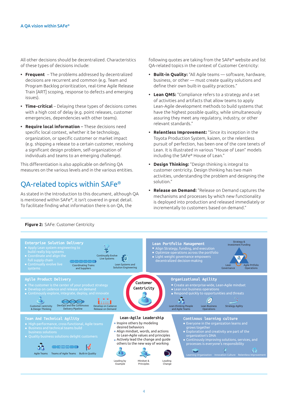All other decisions should be decentralized. Characteristics of these types of decisions include:

- **• Frequent** The problems addressed by decentralized decisions are recurrent and common (e.g. Team and Program Backlog prioritization, real-time Agile Release Train [ART] scoping, response to defects and emerging issues).
- **• Time-critical** Delaying these types of decisions comes with a high cost of delay (e.g. point releases, customer emergencies, dependencies with other teams).
- **• Require local information** These decisions need specific local context, whether it be technology, organization, or specific customer or market impact (e.g. shipping a release to a certain customer, resolving a significant design problem, self-organization of individuals and teams to an emerging challenge).

This differentiation is also applicable on defining QA measures on the various levels and in the various entities.

## QA-related topics within SAFe®

As stated in the Introduction to this document, although QA is mentioned within SAFe®, it isn't covered in great detail. To facilitate finding what information there is on QA, the

following quotes are taking from the SAFe® website and list QA-related topics in the context of Customer Centricity:

- **• Built-in Quality:** "All Agile teams software, hardware, business, or other — must create quality solutions and define their own built-in quality practices."
- **• Lean QMS:** "Compliance refers to a strategy and a set of activities and artifacts that allow teams to apply Lean-Agile development methods to build systems that have the highest possible quality, while simultaneously assuring they meet any regulatory, industry, or other relevant standards."
- **• Relentless Improvement:** "Since its inception in the Toyota Production System, kaizen, or the relentless pursuit of perfection, has been one of the core tenets of Lean. It is illustrated in various "House of Lean" models including the SAFe® House of Lean."
- **• Design Thinking:** "Design thinking is integral to customer centricity. Design thinking has two main activities, understanding the problem and designing the solution."
- **• Release on Demand:** "Release on Demand captures the mechanisms and processes by which new functionality is deployed into production and released immediately or incrementally to customers based on demand."



#### **Figure 2:** SAFe: Customer Centricity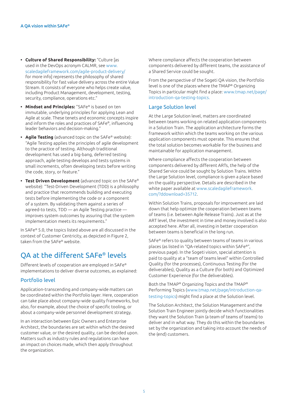- **• Culture of Shared Responsibility:** "Culture [as used in the DevOps acronym CALMR, see [www.](https://www.scaledagileframework.com/agile-product-delivery/) [scaledagileframework.com/agile-product-delivery/](https://www.scaledagileframework.com/agile-product-delivery/) for more info] represents the philosophy of shared responsibility for fast value delivery across the entire Value Stream. It consists of everyone who helps create value, including Product Management, development, testing, security, compliance, operations etc."
- **• Mindset and Principles:** "SAFe® is based on ten immutable, underlying principles for applying Lean and Agile at scale. These tenets and economic concepts inspire and inform the roles and practices of SAFe®, influencing leader behaviors and decision-making."
- **• Agile Testing** (advanced topic on the SAFe® website): "Agile Testing applies the principles of agile development to the practice of testing. Although traditional development has used a big-bang, deferred testing approach, agile testing develops and tests systems in small increments, often developing tests before writing the code, story, or feature."
- **• Test Driven Development** (advanced topic on the SAFe® website): "Test-Driven Development (TDD) is a philosophy and practice that recommends building and executing tests before implementing the code or a component of a system. By validating them against a series of agreed-to tests, TDD — an Agile Testing practice improves system outcomes by assuring that the system implementation meets its requirements."

In SAFe® 5.0, the topics listed above are all discussed in the context of Customer Centricity, as depicted in Figure 2, taken from the SAFe® website.

## QA at the different SAFe® levels

Different levels of cooperation are employed in SAFe® implementations to deliver diverse outcomes, as explained:

#### Portfolio level

Application-transcending and company-wide matters can be coordinated within the Portfolio layer. Here, cooperation can take place about company-wide quality frameworks, but also, for example, about the choice of specific tooling, or about a company-wide personnel development strategy.

In an interaction between Epic Owners and Enterprise Architect, the boundaries are set within which the desired customer value, or the desired quality, can be decided upon. Matters such as industry rules and regulations can have an impact on choices made, which then apply throughout the organization.

Where compliance affects the cooperation between components delivered by different teams, the assistance of a Shared Service could be sought.

From the perspective of the Sogeti QA vision, the Portfolio level is one of the places where the TMAP® Organizing Topics in particular might find a place: [www.tmap.net/page/](https://www.TMAP.net/page/introduction-qa-testing-topics) [introduction-qa-testing-topics.](https://www.TMAP.net/page/introduction-qa-testing-topics)

#### Large Solution level

At the Large Solution level, matters are coordinated between teams working on related application components in a Solution Train. The application architecture forms the framework within which the teams working on the various application components must operate. This ensures that the total solution becomes workable for the business and maintainable for application management.

Where compliance affects the cooperation between components delivered by different ARTs, the help of the Shared Service could be sought by Solution Trains. Within the Large Solution level, compliance is given a place based on the quality perspective. Details are described in the white paper available at [www.scaledagileframework.](https://www.scaledagileframework.com/?ddownload=35712) [com/?ddownload=35712](https://www.scaledagileframework.com/?ddownload=35712).

Within Solution Trains, proposals for improvement are laid down that help optimize the cooperation between teams of teams (i.e. between Agile Release Trains). Just as at the ART level, the investment in time and money involved is also accepted here. After all, investing in better cooperation between teams is beneficial in the long run.

SAFe® refers to quality between teams of teams in various places (as listed in "QA-related topics within SAFe®", previous page). In the Sogeti vision, special attention is paid to quality at a "team of teams level" within Controlled Quality (for the processes), Continuous Testing (for the deliverables), Quality as a Culture (for both) and Optimized Customer Experience (for the deliverables).

Both the TMAP® Organizing Topics and the TMAP® Performing Topics ([www.tmap.net/page/introduction-qa](https://www.TMAP.net/page/introduction-qa-testing-topics)[testing-topics](https://www.TMAP.net/page/introduction-qa-testing-topics)) might find a place at the Solution level.

The Solution Architect, the Solution Management and the Solution Train Engineer jointly decide which functionalities they want the Solution Train (a team of teams of teams) to deliver and in what way. They do this within the boundaries set by the organization and taking into account the needs of the (end) customers.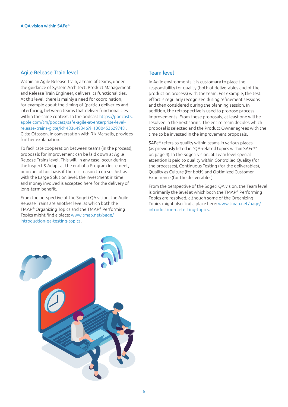#### Agile Release Train level

Within an Agile Release Train, a team of teams, under the guidance of System Architect, Product Management and Release Train Engineer, delivers its functionalities. At this level, there is mainly a need for coordination, for example about the timing of (partial) deliveries and interfacing, between teams that deliver functionalities within the same context. In the podcast [https://podcasts.](https://podcasts.apple.com/tm/podcast/safe-agile-at-enterprise-level-release-trains-gitte/id1483649346?i=1000453629748) [apple.com/tm/podcast/safe-agile-at-enterprise-level](https://podcasts.apple.com/tm/podcast/safe-agile-at-enterprise-level-release-trains-gitte/id1483649346?i=1000453629748)[release-trains-gitte/id1483649346?i=1000453629748](https://podcasts.apple.com/tm/podcast/safe-agile-at-enterprise-level-release-trains-gitte/id1483649346?i=1000453629748) , Gitte Ottosen, in conversation with Rik Marselis, provides further explanation.

To facilitate cooperation between teams (in the process), proposals for improvement can be laid down at Agile Release Trains level. This will, in any case, occur during the Inspect & Adapt at the end of a Program Increment, or on an ad hoc basis if there is reason to do so. Just as with the Large Solution level, the investment in time and money involved is accepted here for the delivery of long-term benefit.

From the perspective of the Sogeti QA vision, the Agile Release Trains are another level at which both the TMAP® Organizing Topics and the TMAP® Performing Topics might find a place: [www.tmap.net/page/](https://www.TMAP.net/page/introduction-qa-testing-topics) [introduction-qa-testing-topics.](https://www.TMAP.net/page/introduction-qa-testing-topics)

#### Team level

In Agile environments it is customary to place the responsibility for quality (both of deliverables and of the production process) with the team. For example, the test effort is regularly recognized during refinement sessions and then considered during the planning session. In addition, the retrospective is used to propose process improvements. From these proposals, at least one will be resolved in the next sprint. The entire team decides which proposal is selected and the Product Owner agrees with the time to be invested in the improvement proposals.

SAFe® refers to quality within teams in various places (as previously listed in "QA-related topics within SAFe®" on page 4). In the Sogeti vision, at Team level special attention is paid to quality within Controlled Quality (for the processes), Continuous Testing (for the deliverables), Quality as Culture (for both) and Optimized Customer Experience (for the deliverables).

From the perspective of the Sogeti QA vision, the Team level is primarily the level at which both the TMAP® Performing Topics are resolved, although some of the Organizing Topics might also find a place here: [www.tmap.net/page/](https://www.TMAP.net/page/introduction-qa-testing-topics) [introduction-qa-testing-topics.](https://www.TMAP.net/page/introduction-qa-testing-topics)

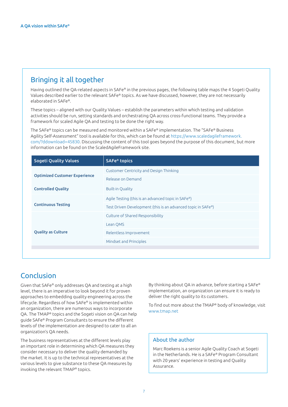## Bringing it all together

Having outlined the QA-related aspects in SAFe® in the previous pages, the following table maps the 4 Sogeti Quality Values described earlier to the relevant SAFe® topics. As we have discussed, however, they are not necessarily elaborated in SAFe®.

These topics – aligned with our Quality Values – establish the parameters within which testing and validation activities should be run, setting standards and orchestrating QA across cross-functional teams. They provide a framework for scaled Agile QA and testing to be done the right way.

The SAFe® topics can be measured and monitored within a SAFe® implementation. The "SAFe® Business Agility Self-Assessment" tool is available for this, which can be found at [https://www.scaledagileframework.](https://www.scaledagileframework.com/?ddownload=45830) [com/?ddownload=45830.](https://www.scaledagileframework.com/?ddownload=45830) Discussing the content of this tool goes beyond the purpose of this document, but more information can be found on the ScaledAgileFramework site.

| <b>Sogeti Quality Values</b>         | SAFe <sup>®</sup> topics                                     |
|--------------------------------------|--------------------------------------------------------------|
| <b>Optimized Customer Experience</b> | <b>Customer Centricity and Design Thinking</b>               |
|                                      | Release on Demand                                            |
| <b>Controlled Quality</b>            | <b>Built-in Quality</b>                                      |
| <b>Continuous Testing</b>            | Agile Testing (this is an advanced topic in SAFe®)           |
|                                      | Test Driven Development (this is an advanced topic in SAFe®) |
| <b>Quality as Culture</b>            | Culture of Shared Responsibility                             |
|                                      | Lean OMS                                                     |
|                                      | Relentless Improvement                                       |
|                                      | Mindset and Principles                                       |
|                                      |                                                              |

## Conclusion

Given that SAFe® only addresses QA and testing at a high level, there is an imperative to look beyond it for proven approaches to embedding quality engineering across the lifecycle. Regardless of how SAFe® is implemented within an organization, there are numerous ways to incorporate QA. The TMAP® topics and the Sogeti vision on QA can help guide SAFe® Program Consultants to ensure the different levels of the implementation are designed to cater to all an organization's QA needs.

The business representatives at the different levels play an important role in determining which QA measures they consider necessary to deliver the quality demanded by the market. It is up to the technical representatives at the various levels to give substance to these QA measures by invoking the relevant TMAP® topics.

By thinking about QA in advance, before starting a SAFe® implementation, an organization can ensure it is ready to deliver the right quality to its customers.

To find out more about the TMAP® body of knowledge, visit [www.tmap.net](http://www.tmap.net)

#### About the author

Marc Roekens is a senior Agile Quality Coach at Sogeti in the Netherlands. He is a SAFe® Program Consultant with 20 years' experience in testing and Quality Assurance.